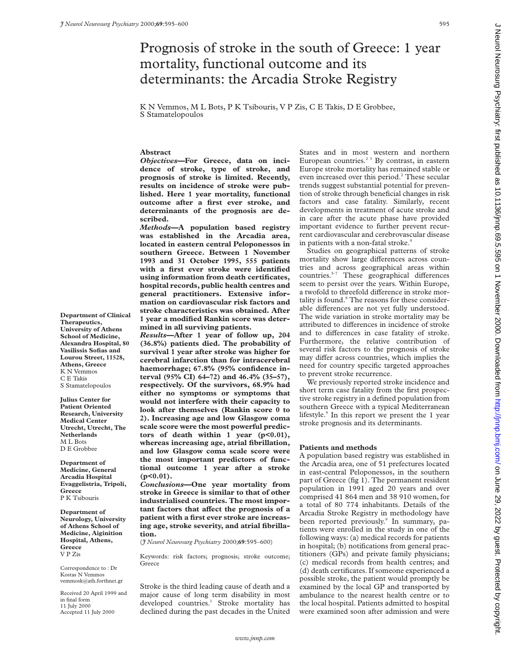# Prognosis of stroke in the south of Greece: 1 year mortality, functional outcome and its determinants: the Arcadia Stroke Registry

K N Vemmos, M L Bots, P K Tsibouris, V P Zis, C E Takis, D E Grobbee, S Stamatelopoulos

## **Abstract**

*Objectives***—For Greece, data on incidence of stroke, type of stroke, and prognosis of stroke is limited. Recently, results on incidence of stroke were published. Here 1 year mortality, functional outcome after a first ever stroke, and determinants of the prognosis are described.**

*Methods—***A population based registry was established in the Arcadia area, located in eastern central Peloponessos in southern Greece. Between 1 November 1993 and 31 October 1995, 555 patients with a first ever stroke were identified using information from death certificates, hospital records, public health centres and general practitioners. Extensive information on cardiovascular risk factors and stroke characteristics was obtained. After 1 year a modified Rankin score was determined in all surviving patients.**

*Results***—After 1 year of follow up, 204 (36.8%) patients died. The probability of survival 1 year after stroke was higher for cerebral infarction than for intracerebral haemorrhage; 67.8% (95% confidence interval (95% CI) 64–72) and 46.4% (35–57), respectively. Of the survivors, 68.9% had either no symptoms or symptoms that would not interfere with their capacity to look after themselves (Rankin score 0 to 2). Increasing age and low Glasgow coma scale score were the most powerful predictors of death within 1 year (p<0.01), whereas increasing age, atrial fibrillation, and low Glasgow coma scale score were the most important predictors of functional outcome 1 year after a stroke (p<0.01).**

*Conclusions***—One year mortality from stroke in Greece is similar to that of other industrialised countries. The most impor**tant factors that affect the prognosis of a **patient with a first ever stroke are increasing age, stroke severity, and atrial fibrillation.**

(*J Neurol Neurosurg Psychiatry* 2000;**69**:595–600)

Keywords: risk factors; prognosis; stroke outcome; Greece

Stroke is the third leading cause of death and a major cause of long term disability in most developed countries.<sup>1</sup> Stroke mortality has declined during the past decades in the United States and in most western and northern European countries.<sup> $23$ </sup> By contrast, in eastern Europe stroke mortality has remained stable or even increased over this period.<sup>2</sup> These secular trends suggest substantial potential for prevention of stroke through beneficial changes in risk factors and case fatality. Similarly, recent developments in treatment of acute stroke and in care after the acute phase have provided important evidence to further prevent recurrent cardiovascular and cerebrovascular disease in patients with a non-fatal stroke.<sup>4</sup>

Studies on geographical patterns of stroke mortality show large differences across countries and across geographical areas within  $countries.<sup>5-7</sup> These geographical differences$ seem to persist over the years. Within Europe, a twofold to threefold difference in stroke mortality is found.<sup>8</sup> The reasons for these considerable differences are not yet fully understood. The wide variation in stroke mortality may be attributed to differences in incidence of stroke and to differences in case fatality of stroke. Furthermore, the relative contribution of several risk factors to the prognosis of stroke may differ across countries, which implies the need for country specific targeted approaches to prevent stroke recurrence.

We previously reported stroke incidence and short term case fatality from the first prospective stroke registry in a defined population from southern Greece with a typical Mediterranean lifestyle.<sup>9</sup> In this report we present the 1 year stroke prognosis and its determinants.

## **Patients and methods**

A population based registry was established in the Arcadia area, one of 51 prefectures located in east-central Peloponessos, in the southern part of Greece (fig 1). The permanent resident population in 1991 aged 20 years and over comprised 41 864 men and 38 910 women, for a total of 80 774 inhabitants. Details of the Arcadia Stroke Registry in methodology have been reported previously.<sup>9</sup> In summary, patients were enrolled in the study in one of the following ways: (a) medical records for patients in hospital; (b) notifications from general practitioners (GPs) and private family physicians; (c) medical records from health centres; and (d) death certificates. If someone experienced a possible stroke, the patient would promptly be examined by the local GP and transported by ambulance to the nearest health centre or to the local hospital. Patients admitted to hospital were examined soon after admission and were

**Department of Clinical Therapeutics, University of Athens School of Medicine, Alexandra Hospital, 80 Vasilissis Sofias and Lourou Street, 11528, Athens, Greece** K N Vemmos C E Takis S Stamatelopoulos

**Julius Center for Patient Oriented Research, University Medical Center Utrecht, Utrecht, The Netherlands** M L Bots D E Grobbee

**Department of Medicine, General Arcadia Hospital Evaggelistria, Tripoli, Greece** P K Tsibouris

**Department of Neurology, University of Athens School of Medicine, Aiginition Hospital, Athens, Greece** V P Zis

Correspondence to : Dr Kostas N Vemmos vemmosk@ath.forthnet.gr

Received 20 April 1999 and in final form 11 July 2000 Accepted 11 July 2000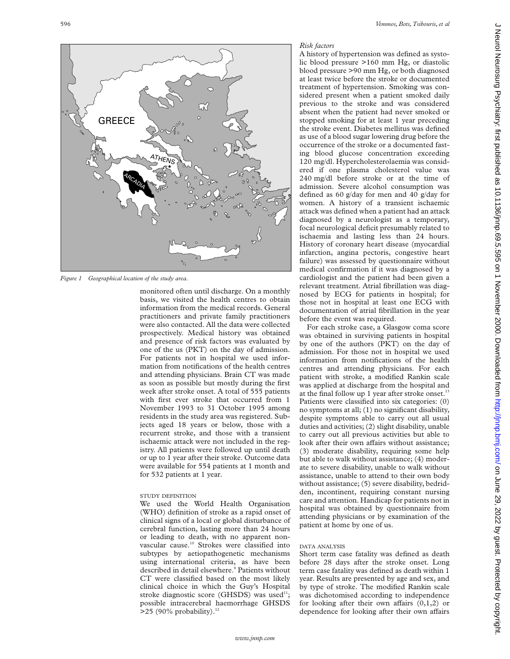

*Figure 1 Geographical location of the study area.*

monitored often until discharge. On a monthly basis, we visited the health centres to obtain information from the medical records. General practitioners and private family practitioners were also contacted. All the data were collected prospectively. Medical history was obtained and presence of risk factors was evaluated by one of the us (PKT) on the day of admission. For patients not in hospital we used information from notifications of the health centres and attending physicians. Brain CT was made as soon as possible but mostly during the first week after stroke onset. A total of 555 patients with first ever stroke that occurred from 1 November 1993 to 31 October 1995 among residents in the study area was registered. Subjects aged 18 years or below, those with a recurrent stroke, and those with a transient ischaemic attack were not included in the registry. All patients were followed up until death or up to 1 year after their stroke. Outcome data were available for 554 patients at 1 month and for 532 patients at 1 year.

# STUDY DEFINITION

We used the World Health Organisation (WHO) definition of stroke as a rapid onset of clinical signs of a local or global disturbance of cerebral function, lasting more than 24 hours or leading to death, with no apparent nonvascular cause.10 Strokes were classified into subtypes by aetiopathogenetic mechanisms using international criteria, as have been described in detail elsewhere.<sup>9</sup> Patients without CT were classified based on the most likely clinical choice in which the Guy's Hospital stroke diagnostic score (GHSDS) was used $11$ ; possible intracerebral haemorrhage GHSDS >25 (90% probability). $^{12}$ 

## *Risk factors*

A history of hypertension was defined as systolic blood pressure >160 mm Hg, or diastolic blood pressure >90 mm Hg, or both diagnosed at least twice before the stroke or documented treatment of hypertension. Smoking was considered present when a patient smoked daily previous to the stroke and was considered absent when the patient had never smoked or stopped smoking for at least 1 year preceding the stroke event. Diabetes mellitus was defined as use of a blood sugar lowering drug before the occurrence of the stroke or a documented fasting blood glucose concentration exceeding 120 mg/dl. Hypercholesterolaemia was considered if one plasma cholesterol value was 240 mg/dl before stroke or at the time of admission. Severe alcohol consumption was defined as 60 g/day for men and 40 g/day for women. A history of a transient ischaemic attack was defined when a patient had an attack diagnosed by a neurologist as a temporary, focal neurological deficit presumably related to ischaemia and lasting less than 24 hours. History of coronary heart disease (myocardial infarction, angina pectoris, congestive heart failure) was assessed by questionnaire without medical confirmation if it was diagnosed by a cardiologist and the patient had been given a relevant treatment. Atrial fibrillation was diagnosed by ECG for patients in hospital; for those not in hospital at least one ECG with documentation of atrial fibrillation in the year before the event was required.

For each stroke case, a Glasgow coma score was obtained in surviving patients in hospital by one of the authors (PKT) on the day of admission. For those not in hospital we used information from notifications of the health centres and attending physicians. For each patient with stroke, a modified Rankin scale was applied at discharge from the hospital and at the final follow up 1 year after stroke onset. $13$ Patients were classified into six categories: (0) no symptoms at all; (1) no significant disability, despite symptoms able to carry out all usual duties and activities; (2) slight disability, unable to carry out all previous activities but able to look after their own affairs without assistance; (3) moderate disability, requiring some help but able to walk without assistance; (4) moderate to severe disability, unable to walk without assistance, unable to attend to their own body without assistance; (5) severe disability, bedridden, incontinent, requiring constant nursing care and attention. Handicap for patients not in hospital was obtained by questionnaire from attending physicians or by examination of the patient at home by one of us.

### DATA ANALYSIS

Short term case fatality was defined as death before 28 days after the stroke onset. Long term case fatality was defined as death within 1 year. Results are presented by age and sex, and by type of stroke. The modified Rankin scale was dichotomised according to independence for looking after their own affairs  $(0,1,2)$  or dependence for looking after their own affairs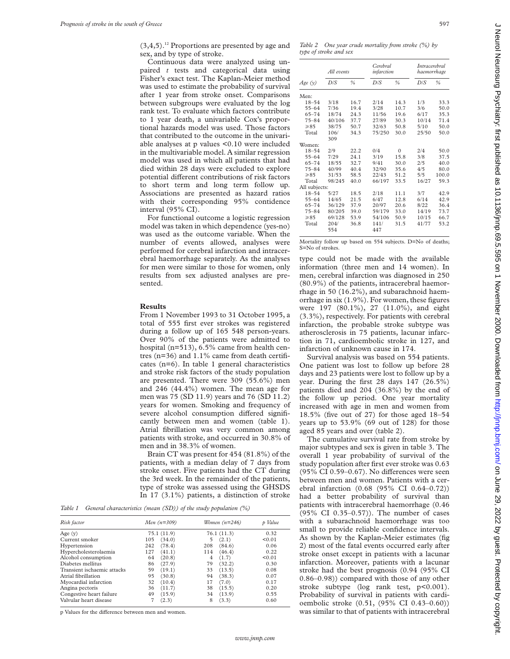$(3,4,5)$ .<sup>12</sup> Proportions are presented by age and sex, and by type of stroke.

Continuous data were analyzed using unpaired *t* tests and categorical data using Fisher's exact test. The Kaplan-Meier method was used to estimate the probability of survival after 1 year from stroke onset. Comparisons between subgroups were evaluated by the log rank test. To evaluate which factors contribute to 1 year death, a univariable Cox's proportional hazards model was used. Those factors that contributed to the outcome in the univariable analyses at p values <0.10 were included in the multivariable model. A similar regression model was used in which all patients that had died within 28 days were excluded to explore potential different contributions of risk factors to short term and long term follow up. Associations are presented as hazard ratios with their corresponding 95% contidence interval (95% CI).

For functional outcome a logistic regression model was taken in which dependence (yes-no) was used as the outcome variable. When the number of events allowed, analyses were performed for cerebral infarction and intracerebral haemorrhage separately. As the analyses for men were similar to those for women, only results from sex adjusted analyses are presented.

## **Results**

From 1 November 1993 to 31 October 1995, a total of 555 first ever strokes was registered during a follow up of 165 548 person-years. Over 90% of the patients were admitted to hospital (n=513), 6.5% came from health centres (n=36) and 1.1% came from death certificates (n=6). In table 1 general characteristics and stroke risk factors of the study population are presented. There were 309 (55.6%) men and 246 (44.4%) women. The mean age for men was 75 (SD 11.9) years and 76 (SD 11.2) years for women. Smoking and frequency of severe alcohol consumption differed significantly between men and women (table 1). Atrial fibrillation was very common among patients with stroke, and occurred in 30.8% of men and in 38.3% of women.

Brain CT was present for 454 (81.8%) of the patients, with a median delay of 7 days from stroke onset. Five patients had the CT during the 3rd week. In the remainder of the patients, type of stroke was assessed using the GHSDS In 17 (3.1%) patients, a distinction of stroke

*Table 1 General characteristics (mean (SD)) of the study population (%)*

| Risk factor                 |     | Men $(n=309)$ |     | Women $(n=246)$ | p Value |  |
|-----------------------------|-----|---------------|-----|-----------------|---------|--|
| Age $(y)$                   |     | 75.1 (11.9)   |     | 76.1(11.3)      | 0.32    |  |
| Current smoker              | 105 | (34.0)        | 5   | (2.1)           | < 0.01  |  |
| Hypertension                | 242 | (78.4)        | 208 | (84.6)          | 0.06    |  |
| Hypercholesterolaemia       | 127 | (41.1)        | 114 | (46.4)          | 0.22    |  |
| Alcohol consumption         | 64  | (20.8)        | 4   | (1.7)           | < 0.01  |  |
| Diabetes mellitus           | 86  | (27.9)        | 79  | (32.2)          | 0.30    |  |
| Transient ischaemic attacks | 59  | (19.1)        | 33  | (13.5)          | 0.08    |  |
| Atrial fibrillation         | 95  | (30.8)        | 94  | (38.3)          | 0.07    |  |
| Myocardial infarction       | 32  | (10.4)        | 17  | (7.0)           | 0.17    |  |
| Angina pectoris             | 36  | (11.7)        | 38  | (15.5)          | 0.20    |  |
| Congestive heart failure    | 49  | (15.9)        | 34  | (13.9)          | 0.55    |  |
| Valvular heart disease      | 7   | (2.3)         | 8   | (3.3)           | 0.60    |  |

p Values for the difference between men and women.

*Table 2 One year crude mortality from stroke (%) by type of stroke and sex*

|               | All events  |               | Cerebral<br>infarction |               | <i>Intracerebral</i><br>haemorrhage |       |
|---------------|-------------|---------------|------------------------|---------------|-------------------------------------|-------|
| Age(y)        | D/S         | $\frac{0}{0}$ | D/S                    | $\frac{0}{0}$ | D/S                                 | %     |
| Men:          |             |               |                        |               |                                     |       |
| $18 - 54$     | 3/18        | 16.7          | 2/14                   | 14.3          | 1/3                                 | 33.3  |
| $55 - 64$     | 7/36        | 19.4          | 3/28                   | 10.7          | 3/6                                 | 50.0  |
| $65 - 74$     | 18/74       | 24.3          | 11/56                  | 19.6          | 6/17                                | 35.3  |
| $75 - 84$     | 40/106      | 37.7          | 27/89                  | 30.3          | 10/14                               | 71.4  |
| $\geq 85$     | 38/75       | 50.7          | 32/63                  | 50.8          | 5/10                                | 50.0  |
| Total         | 106/<br>309 | 34.3          | 75/250                 | 30.0          | 25/50                               | 50.0  |
| Women:        |             |               |                        |               |                                     |       |
| $18 - 54$     | 2/9         | 22.2          | 0/4                    | $\theta$      | 2/4                                 | 50.0  |
| $55 - 64$     | 7/29        | 24.1          | 3/19                   | 15.8          | 3/8                                 | 37.5  |
| 65-74         | 18/55       | 32.7          | 9/41                   | 30.0          | 2/5                                 | 40.0  |
| $75 - 84$     | 40/99       | 40.4          | 32/90                  | 35.6          | 4/5                                 | 80.0  |
| $\geq 85$     | 31/53       | 58.5          | 22/43                  | 51.2          | 5/5                                 | 100.0 |
| Total         | 98/245      | 40.0          | 66/197                 | 33.5          | 16/27                               | 59.3  |
| All subjects: |             |               |                        |               |                                     |       |
| $18 - 54$     | 5/27        | 18.5          | 2/18                   | 11.1          | 3/7                                 | 42.9  |
| $55 - 64$     | 14/65       | 21.5          | 6/47                   | 12.8          | 6/14                                | 42.9  |
| $65 - 74$     | 36/129      | 37.9          | 20/97                  | 20.6          | 8/22                                | 36.4  |
| $75 - 84$     | 80/205      | 39.0          | 59/179                 | 33.0          | 14/19                               | 73.7  |
| $\geq 85$     | 69/128      | 53.9          | 54/106                 | 50.9          | 10/15                               | 66.7  |
| Total         | 204/<br>554 | 36.8          | 141/<br>447            | 31.5          | 41/77                               | 53.2  |

Mortality follow up based on 554 subjects. D=No of deaths; S=No of strokes.

type could not be made with the available information (three men and 14 women). In men, cerebral infarction was diagnosed in 250 (80.9%) of the patients, intracerebral haemorrhage in 50 (16.2%), and subarachnoid haemorrhage in six (1.9%). For women, these figures were 197 (80.1%), 27 (11.0%), and eight (3.3%), respectively. For patients with cerebral infarction, the probable stroke subtype was atherosclerosis in 75 patients, lacunar infarction in 71, cardioembolic stroke in 127, and infarction of unknown cause in 174.

Survival analysis was based on 554 patients. One patient was lost to follow up before 28 days and 23 patients were lost to follow up by a year. During the first 28 days 147 (26.5%) patients died and 204 (36.8%) by the end of the follow up period. One year mortality increased with age in men and women from 18.5% (five out of 27) for those aged 18–54 years up to 53.9% (69 out of 128) for those aged 85 years and over (table 2).

The cumulative survival rate from stroke by major subtypes and sex is given in table 3. The overall 1 year probability of survival of the study population after first ever stroke was 0.63 (95% CI 0.59-0.67). No differences were seen between men and women. Patients with a cerebral infarction (0.68 (95% CI 0.64–0.72)) had a better probability of survival than patients with intracerebral haemorrhage (0.46 (95% CI 0.35–0.57)). The number of cases with a subarachnoid haemorrhage was too small to provide reliable confidence intervals. As shown by the Kaplan-Meier estimates (fig 2) most of the fatal events occurred early after stroke onset except in patients with a lacunar infarction. Moreover, patients with a lacunar stroke had the best prognosis (0.94 (95% CI 0.86–0.98)) compared with those of any other stroke subtype (log rank test, p<0.001). Probability of survival in patients with cardioembolic stroke (0.51, (95% CI 0.43–0.60)) was similar to that of patients with intracerebral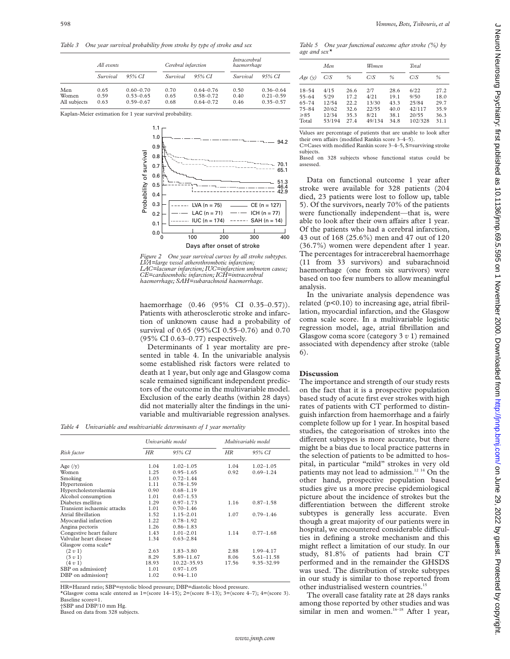*Table 3 One year survival probability from stroke by type of stroke and sex*

|                              | All events           |                                                 |                      | Cerebral infarction                             |                      | Intracerebral<br>haemorrhage                    |  |
|------------------------------|----------------------|-------------------------------------------------|----------------------|-------------------------------------------------|----------------------|-------------------------------------------------|--|
|                              | Survival             | 95% CI                                          | Survival             | 95% CI                                          | Survival             | 95% CI                                          |  |
| Men<br>Women<br>All subjects | 0.65<br>0.59<br>0.63 | $0.60 - 0.70$<br>$0.53 - 0.65$<br>$0.59 - 0.67$ | 0.70<br>0.65<br>0.68 | $0.64 - 0.76$<br>$0.58 - 0.72$<br>$0.64 - 0.72$ | 0.50<br>0.40<br>0.46 | $0.36 - 0.64$<br>$0.21 - 0.59$<br>$0.35 - 0.57$ |  |

Kaplan-Meier estimation for 1 year survival probability.



*Figure 2 One year survival curves by all stroke subtypes. LVA=large vessel atherothrombotic infarction; LAC=lacunar infarction; IUC=infarction unknown cause; CE=cardioembolic infarction; ICH=intracerebral haemorrhage; SAH=subarachnoid haemorrhage.*

haemorrhage (0.46 (95% CI 0.35–0.57)). Patients with atherosclerotic stroke and infarction of unknown cause had a probability of survival of 0.65 (95%CI 0.55–0.76) and 0.70 (95% CI 0.63–0.77) respectively.

Determinants of 1 year mortality are presented in table 4. In the univariable analysis some established risk factors were related to death at 1 year, but only age and Glasgow coma scale remained significant independent predictors of the outcome in the multivariable model. Exclusion of the early deaths (within 28 days) did not materially alter the findings in the univariable and multivariable regression analyses.

*Table 4 Univariable and multivariable determinants of 1 year mortality*

|                               |       | Univariable model |       | Multivariable model |
|-------------------------------|-------|-------------------|-------|---------------------|
| Risk factor                   | HR    | 95% CI            | ΗR    | 95% CI              |
| Age $(y)$                     | 1.04  | $1.02 - 1.05$     | 1.04  | $1.02 - 1.05$       |
| Women                         | 1.25  | $0.95 - 1.65$     | 0.92  | $0.69 - 1.24$       |
| Smoking                       | 1.03  | $0.72 - 1.44$     |       |                     |
| Hypertension                  | 1.11  | $0.78 - 1.59$     |       |                     |
| Hypercholesterolaemia         | 0.90  | $0.68 - 1.19$     |       |                     |
| Alcohol consumption           | 1.01  | $0.67 - 1.53$     |       |                     |
| Diabetes mellitus             | 1.29  | $0.97 - 1.73$     | 1.16  | $0.87 - 1.58$       |
| Transient ischaemic attacks   | 1.01  | $0.70 - 1.46$     |       |                     |
| Atrial fibrillation           | 1.52  | $1.15 - 2.01$     | 1.07  | $0.79 - 1.46$       |
| Myocardial infarction         | 1.22  | $0.78 - 1.92$     |       |                     |
| Angina pectoris               | 1.26  | $0.86 - 1.83$     |       |                     |
| Congestive heart failure      | 1.43  | $1.01 - 2.01$     | 1.14  | $0.77 - 1.68$       |
| Valvular heart disease        | 1.34  | $0.63 - 2.84$     |       |                     |
| Glasgow coma scale $\star$    |       |                   |       |                     |
| (2 v 1)                       | 2.63  | $1.83 - 3.80$     | 2.88  | 1.99-4.17           |
| (3 v 1)                       | 8.29  | 5.89-11.67        | 8.06  | 5.61-11.58          |
| (4 v 1)                       | 18.93 | 10.22-35.93       | 17.56 | 9.35-32.99          |
| SBP on admission <sup>+</sup> | 1.01  | $0.97 - 1.05$     |       |                     |
| DBP on admission+             | 1.02  | $0.94 - 1.10$     |       |                     |

HR=Hazard ratio; SBP=systolic blood pressure; DBP=diastolic blood pressure.

\*Glasgow coma scale entered as  $1=(\text{score } 14-15)$ ;  $2=(\text{score } 8-13)$ ;  $3=(\text{score } 4-7)$ ;  $4=(\text{score } 3)$ . Baseline score=1.

†SBP and DBP/10 mm Hg.

Based on data from 328 subjects.

598 *Vemmos, Bots, Tsibouris, et al*

*Table 5 One year functional outcome after stroke (%) by age and sex\**

| Men                                                          |                                                   | Women                                        |                                                 | Total                                        |                                                     |                                              |
|--------------------------------------------------------------|---------------------------------------------------|----------------------------------------------|-------------------------------------------------|----------------------------------------------|-----------------------------------------------------|----------------------------------------------|
| Age (y)                                                      | C/S                                               | %                                            | C/S                                             | $\frac{0}{0}$                                | C/S                                                 | $\frac{0}{6}$                                |
| $18 - 54$<br>55–64<br>$65 - 74$<br>$75 - 84$<br>≥85<br>Total | 4/15<br>5/29<br>12/54<br>20/62<br>12/34<br>53/194 | 26.6<br>17.2<br>22.2<br>32.6<br>35.3<br>27.4 | 2/7<br>4/21<br>13/30<br>22/55<br>8/21<br>49/134 | 28.6<br>19.1<br>43.3<br>40.0<br>38.1<br>34.8 | 6/22<br>9/50<br>25/84<br>42/117<br>20/55<br>102/328 | 27.2<br>18.0<br>29.7<br>35.9<br>36.3<br>31.1 |

Values are percentage of patients that are unable to look after their own affairs (modified Rankin score 3–4–5).

C=Cases with modified Rankin score 3–4–5, S=surviving stroke subjects. Based on 328 subjects whose functional status could be

assessed.

Data on functional outcome 1 year after stroke were available for 328 patients (204 died, 23 patients were lost to follow up, table 5). Of the survivors, nearly 70% of the patients were functionally independent—that is, were able to look after their own affairs after 1 year. Of the patients who had a cerebral infarction, 43 out of 168 (25.6%) men and 47 out of 120 (36.7%) women were dependent after 1 year. The percentages for intracerebral haemorrhage (11 from 33 survivors) and subarachnoid haemorrhage (one from six survivors) were based on too few numbers to allow meaningful analysis.

In the univariate analysis dependence was related  $(p<0.10)$  to increasing age, atrial fibrillation, myocardial infarction, and the Glasgow coma scale score. In a multivariable logistic regression model, age, atrial fibrillation and Glasgow coma score (category 3 *v* 1) remained associated with dependency after stroke (table 6).

# **Discussion**

The importance and strength of our study rests on the fact that it is a prospective population based study of acute first ever strokes with high rates of patients with CT performed to distinguish infarction from haemorrhage and a fairly complete follow up for 1 year. In hospital based studies, the categorisation of strokes into the different subtypes is more accurate, but there might be a bias due to local practice patterns in the selection of patients to be admitted to hospital, in particular "mild" strokes in very old patients may not lead to admission.<sup>12 14</sup> On the other hand, prospective population based studies give us a more precise epidemiological picture about the incidence of strokes but the differentiation between the different stroke subtypes is generally less accurate. Even though a great majority of our patients were in hospital, we encountered considerable difficulties in defining a stroke mechanism and this might reflect a limitation of our study. In our study, 81.8% of patients had brain CT performed and in the remainder the GHSDS was used. The distribution of stroke subtypes in our study is similar to those reported from other industrialised western countries.<sup>15</sup>

The overall case fatality rate at 28 days ranks among those reported by other studies and was similar in men and women.<sup>16-18</sup> After 1 year,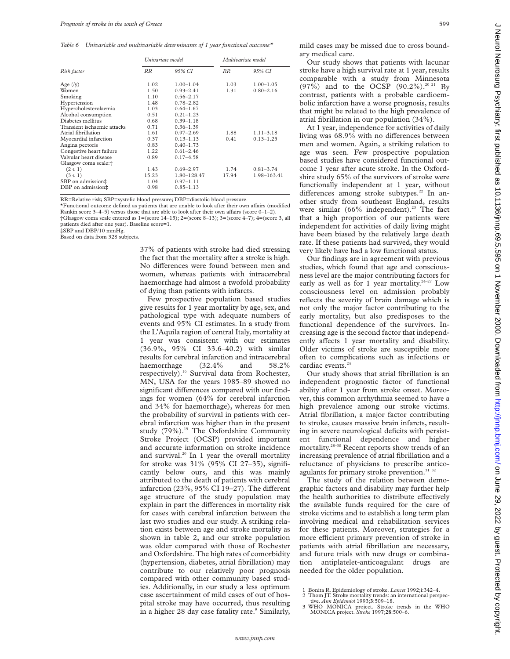*Table 6 Univariable and multivariable determinants of 1 year functional outcome\**

|                                  | Univariate model |               | Multivariate model |               |  |
|----------------------------------|------------------|---------------|--------------------|---------------|--|
| Risk factor                      | RR               | 95% CI        | <b>RR</b>          | 95% CI        |  |
| Age $(y)$                        | 1.02             | $1.00 - 1.04$ | 1.03               | $1.00 - 1.05$ |  |
| Women                            | 1.50             | $0.93 - 2.41$ | 1.31               | $0.80 - 2.16$ |  |
| Smoking                          | 1.10             | $0.56 - 2.17$ |                    |               |  |
| Hypertension                     | 1.48             | $0.78 - 2.82$ |                    |               |  |
| Hypercholesterolaemia            | 1.03             | $0.64 - 1.67$ |                    |               |  |
| Alcohol consumption              | 0.51             | $0.21 - 1.23$ |                    |               |  |
| Diabetes mellitus                | 0.68             | $0.39 - 1.18$ |                    |               |  |
| Transient ischaemic attacks      | 0.71             | $0.36 - 1.39$ |                    |               |  |
| Atrial fibrillation              | 1.61             | $0.97 - 2.69$ | 1.88               | $1.11 - 3.18$ |  |
| Myocardial infarction            | 0.37             | $0.13 - 1.13$ | 0.41               | $0.13 - 1.25$ |  |
| Angina pectoris                  | 0.83             | $0.40 - 1.73$ |                    |               |  |
| Congestive heart failure         | 1.22             | $0.61 - 2.46$ |                    |               |  |
| Valvular heart disease           | 0.89             | $0.17 - 4.58$ |                    |               |  |
| Glasgow coma scale: <sup>+</sup> |                  |               |                    |               |  |
| (2 v 1)                          | 1.43             | $0.69 - 2.97$ | 1.74               | $0.81 - 3.74$ |  |
| (3 v 1)                          | 15.23            | 1.80-128.47   | 17.94              | 1.98-163.41   |  |
| SBP on admission‡                | 1.04             | $0.97 - 1.11$ |                    |               |  |
| DBP on admission#                | 0.98             | $0.85 - 1.13$ |                    |               |  |

RR=Relative risk; SBP=systolic blood pressure; DBP=diastolic blood pressure.

\*Functional outcome defined as patients that are unable to look after their own affairs (modified Rankin score  $3-4-5$ ) versus those that are able to look after their own affairs (score  $0-1-2$ ). †Glasgow coma scale entered as 1=(score 14–15); 2=(score 8–13); 3=(score 4–7); 4=(score 3, all patients died after one year). Baseline score=1.

‡SBP and DBP/10 mmHg. Based on data from 328 subjects.

37% of patients with stroke had died stressing the fact that the mortality after a stroke is high. No differences were found between men and women, whereas patients with intracerebral haemorrhage had almost a twofold probability of dying than patients with infarcts.

Few prospective population based studies give results for 1 year mortality by age, sex, and pathological type with adequate numbers of events and 95% CI estimates. In a study from the L'Aquila region of central Italy, mortality at 1 year was consistent with our estimates (36.9%, 95% CI 33.6–40.2) with similar results for cerebral infarction and intracerebral<br>haemorrhage (32.4% and 58.2% haemorrhage (32.4% and 58.2% respectively).<sup>16</sup> Survival data from Rochester, MN, USA for the years 1985–89 showed no significant differences compared with our findings for women (64% for cerebral infarction and 34% for haemorrhage), whereas for men the probability of survival in patients with cerebral infarction was higher than in the present study (79%).<sup>19</sup> The Oxfordshire Community Stroke Project (OCSP) provided important and accurate information on stroke incidence and survival. $20 \text{ In } 1$  year the overall mortality for stroke was 31% (95% CI 27–35), significantly below ours, and this was mainly attributed to the death of patients with cerebral infarction  $(23\%, 95\% \text{ CI } 19-27)$ . The different age structure of the study population may explain in part the differences in mortality risk for cases with cerebral infarction between the last two studies and our study. A striking relation exists between age and stroke mortality as shown in table 2, and our stroke population was older compared with those of Rochester and Oxfordshire. The high rates of comorbidity (hypertension, diabetes, atrial fibrillation) may contribute to our relatively poor prognosis compared with other community based studies. Additionally, in our study a less optimum case ascertainment of mild cases of out of hospital stroke may have occurred, thus resulting in a higher 28 day case fatality rate.<sup>9</sup> Similarly,

mild cases may be missed due to cross boundary medical care. Our study shows that patients with lacunar stroke have a high survival rate at 1 year, results comparable with a study from Minnesota  $(97\%)$  and to the OCSP  $(90.2\%)$ .<sup>20 21</sup> By contrast, patients with a probable cardioembolic infarction have a worse prognosis, results that might be related to the high prevalence of

atrial fibrillation in our population (34%). At 1 year, independence for activities of daily living was 68.9% with no differences between men and women. Again, a striking relation to age was seen. Few prospective population based studies have considered functional outcome 1 year after acute stroke. In the Oxfordshire study 65% of the survivors of stroke were functionally independent at 1 year, without differences among stroke subtypes.<sup>22</sup> In another study from southeast England, results were similar  $(66\%$  independent).<sup>23</sup> The fact that a high proportion of our patients were independent for activities of daily living might have been biased by the relatively large death rate. If these patients had survived, they would very likely have had a low functional status.

Our findings are in agreement with previous studies, which found that age and consciousness level are the major contributing factors for early as well as for 1 year mortality.<sup>24-27</sup> Low consciousness level on admission probably reflects the severity of brain damage which is not only the major factor contributing to the early mortality, but also predisposes to the functional dependence of the survivors. Increasing age is the second factor that independently affects 1 year mortality and disability. Older victims of stroke are susceptible more often to complications such as infections or cardiac events.<sup>24</sup>

Our study shows that atrial fibrillation is an independent prognostic factor of functional ability after 1 year from stroke onset. Moreover, this common arrhythmia seemed to have a high prevalence among our stroke victims. Atrial fibrillation, a major factor contributing to stroke, causes massive brain infarcts, resulting in severe neurological deficits with persistent functional dependence and higher mortality.28–30 Recent reports show trends of an increasing prevalence of atrial fibrillation and a reluctance of physicians to prescribe anticoagulants for primary stroke prevention.<sup>31 32</sup>

The study of the relation between demographic factors and disability may further help the health authorities to distribute effectively the available funds required for the care of stroke victims and to establish a long term plan involving medical and rehabilitation services for these patients. Moreover, strategies for a more efficient primary prevention of stroke in patients with atrial fibrillation are necessary, and future trials with new drugs or combination antiplatelet-anticoagulant drugs are needed for the older population.

<sup>1</sup> Bonita R. Epidemiology of stroke. *Lancet* 1992;i:342–4. 2 Thom JT. Stroke mortality trends: an international perspec-

tive. *Ann Epidemiol* 1993;**3**:509–18.

<sup>3</sup> WHO MONICA project. Stroke trends in the WHO MONICA project. *Stroke* 1997;**28**:500–6.